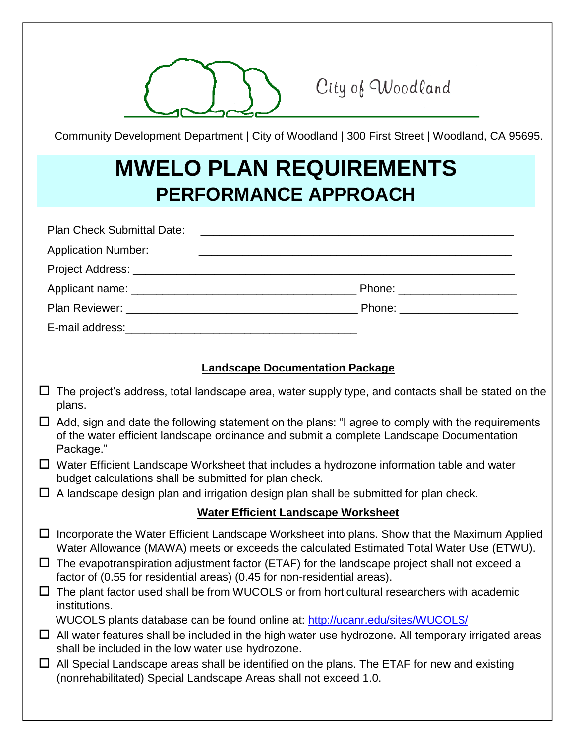

City of Woodland

Community Development Department | City of Woodland | 300 First Street | Woodland, CA 95695.

# **MWELO PLAN REQUIREMENTS PERFORMANCE APPROACH**

| <b>Plan Check Submittal Date:</b> |                                |
|-----------------------------------|--------------------------------|
| <b>Application Number:</b>        |                                |
|                                   |                                |
|                                   | Phone: _______________________ |
|                                   | Phone: _______________________ |
| E-mail address: E-mail address:   |                                |

#### **Landscape Documentation Package**

- $\Box$  The project's address, total landscape area, water supply type, and contacts shall be stated on the plans.
- $\Box$  Add, sign and date the following statement on the plans: "I agree to comply with the requirements of the water efficient landscape ordinance and submit a complete Landscape Documentation Package."
- $\Box$  Water Efficient Landscape Worksheet that includes a hydrozone information table and water budget calculations shall be submitted for plan check.
- $\Box$  A landscape design plan and irrigation design plan shall be submitted for plan check.

#### **Water Efficient Landscape Worksheet**

- $\Box$  Incorporate the Water Efficient Landscape Worksheet into plans. Show that the Maximum Applied Water Allowance (MAWA) meets or exceeds the calculated Estimated Total Water Use (ETWU).
- $\Box$  The evapotranspiration adjustment factor (ETAF) for the landscape project shall not exceed a factor of (0.55 for residential areas) (0.45 for non-residential areas).
- $\Box$  The plant factor used shall be from WUCOLS or from horticultural researchers with academic institutions.

WUCOLS plants database can be found online at:<http://ucanr.edu/sites/WUCOLS/>

- $\Box$  All water features shall be included in the high water use hydrozone. All temporary irrigated areas shall be included in the low water use hydrozone.
- $\Box$  All Special Landscape areas shall be identified on the plans. The ETAF for new and existing (nonrehabilitated) Special Landscape Areas shall not exceed 1.0.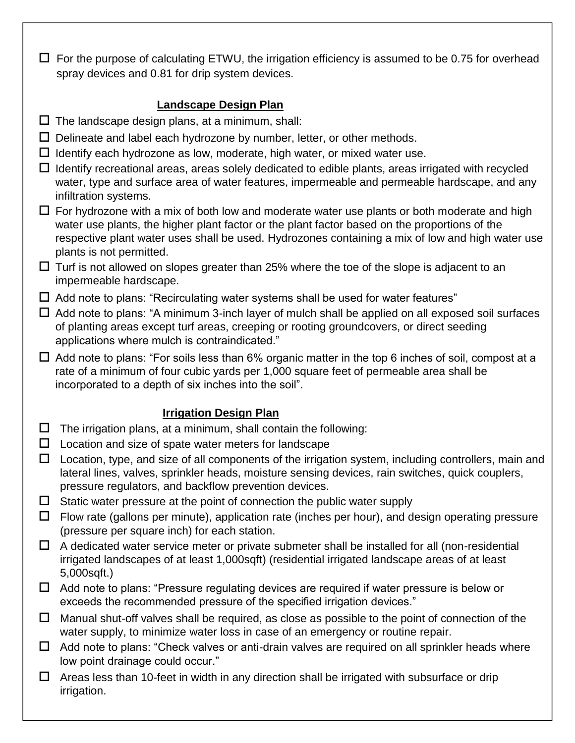$\Box$  For the purpose of calculating ETWU, the irrigation efficiency is assumed to be 0.75 for overhead spray devices and 0.81 for drip system devices.

### **Landscape Design Plan**

- $\square$  The landscape design plans, at a minimum, shall:
- $\square$  Delineate and label each hydrozone by number, letter, or other methods.
- $\Box$  Identify each hydrozone as low, moderate, high water, or mixed water use.
- $\Box$  Identify recreational areas, areas solely dedicated to edible plants, areas irrigated with recycled water, type and surface area of water features, impermeable and permeable hardscape, and any infiltration systems.
- $\Box$  For hydrozone with a mix of both low and moderate water use plants or both moderate and high water use plants, the higher plant factor or the plant factor based on the proportions of the respective plant water uses shall be used. Hydrozones containing a mix of low and high water use plants is not permitted.
- $\Box$  Turf is not allowed on slopes greater than 25% where the toe of the slope is adjacent to an impermeable hardscape.
- $\Box$  Add note to plans: "Recirculating water systems shall be used for water features"
- $\Box$  Add note to plans: "A minimum 3-inch layer of mulch shall be applied on all exposed soil surfaces of planting areas except turf areas, creeping or rooting groundcovers, or direct seeding applications where mulch is contraindicated."
- $\Box$  Add note to plans: "For soils less than 6% organic matter in the top 6 inches of soil, compost at a rate of a minimum of four cubic yards per 1,000 square feet of permeable area shall be incorporated to a depth of six inches into the soil".

## **Irrigation Design Plan**

- $\Box$  The irrigation plans, at a minimum, shall contain the following:
- $\square$  Location and size of spate water meters for landscape
- $\Box$  Location, type, and size of all components of the irrigation system, including controllers, main and lateral lines, valves, sprinkler heads, moisture sensing devices, rain switches, quick couplers, pressure regulators, and backflow prevention devices.
- $\Box$  Static water pressure at the point of connection the public water supply
- $\Box$  Flow rate (gallons per minute), application rate (inches per hour), and design operating pressure (pressure per square inch) for each station.
- $\Box$  A dedicated water service meter or private submeter shall be installed for all (non-residential irrigated landscapes of at least 1,000sqft) (residential irrigated landscape areas of at least 5,000sqft.)
- $\Box$  Add note to plans: "Pressure regulating devices are required if water pressure is below or exceeds the recommended pressure of the specified irrigation devices."
- $\Box$  Manual shut-off valves shall be required, as close as possible to the point of connection of the water supply, to minimize water loss in case of an emergency or routine repair.
- $\Box$  Add note to plans: "Check valves or anti-drain valves are required on all sprinkler heads where low point drainage could occur."
- $\Box$  Areas less than 10-feet in width in any direction shall be irrigated with subsurface or drip irrigation.